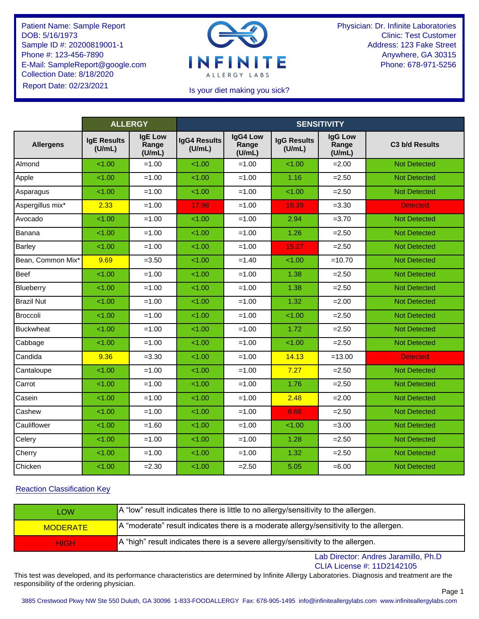

Physician: Dr. Infinite Laboratories Clinic: Test Customer Address: 123 Fake Street Anywhere, GA 30315 Phone: 678-971-5256

### Is your diet making you sick?

|                   | <b>ALLERGY</b>               |                                   | <b>SENSITIVITY</b>     |                             |                              |                            |                            |  |
|-------------------|------------------------------|-----------------------------------|------------------------|-----------------------------|------------------------------|----------------------------|----------------------------|--|
| <b>Allergens</b>  | <b>IgE Results</b><br>(U/mL) | <b>IgE Low</b><br>Range<br>(U/mL) | IgG4 Results<br>(U/mL) | IgG4 Low<br>Range<br>(U/mL) | <b>IgG Results</b><br>(U/mL) | IgG Low<br>Range<br>(U/mL) | C <sub>3</sub> b/d Results |  |
| Almond            | < 1.00                       | $=1.00$                           | 1.00                   | $=1.00$                     | 1.00                         | $=2.00$                    | <b>Not Detected</b>        |  |
| Apple             | < 1.00                       | $=1.00$                           | 1.00                   | $=1.00$                     | 1.16                         | $=2.50$                    | <b>Not Detected</b>        |  |
| Asparagus         | < 1.00                       | $=1.00$                           | 1.00                   | $=1.00$                     | < 1.00                       | $=2.50$                    | <b>Not Detected</b>        |  |
| Aspergillus mix*  | 2.33                         | $=1.00$                           | 17.98                  | $=1.00$                     | 16.39                        | $= 3.30$                   | <b>Detected</b>            |  |
| Avocado           | 1.00                         | $=1.00$                           | 1.00                   | $=1.00$                     | 2.94                         | $=3.70$                    | <b>Not Detected</b>        |  |
| Banana            | 1.00                         | $=1.00$                           | 1.00                   | $=1.00$                     | 1.26                         | $=2.50$                    | <b>Not Detected</b>        |  |
| Barley            | < 1.00                       | $=1.00$                           | 1.00                   | $=1.00$                     | 15.27                        | $=2.50$                    | <b>Not Detected</b>        |  |
| Bean, Common Mix* | 9.69                         | $=3.50$                           | 1.00                   | $=1.40$                     | < 1.00                       | $=10.70$                   | <b>Not Detected</b>        |  |
| <b>Beef</b>       | 1.00                         | $=1.00$                           | 1.00                   | $=1.00$                     | 1.38                         | $=2.50$                    | <b>Not Detected</b>        |  |
| Blueberry         | < 1.00                       | $=1.00$                           | < 1.00                 | $=1.00$                     | 1.38                         | $=2.50$                    | <b>Not Detected</b>        |  |
| <b>Brazil Nut</b> | 1.00                         | $=1.00$                           | 1.00                   | $=1.00$                     | 1.32                         | $=2.00$                    | <b>Not Detected</b>        |  |
| Broccoli          | 1.00                         | $=1.00$                           | 1.00                   | $=1.00$                     | 1.00                         | $= 2.50$                   | <b>Not Detected</b>        |  |
| <b>Buckwheat</b>  | 1.00                         | $=1.00$                           | 1.00                   | $=1.00$                     | 1.72                         | $=2.50$                    | <b>Not Detected</b>        |  |
| Cabbage           | < 1.00                       | $=1.00$                           | 1.00                   | $=1.00$                     | 1.00                         | $= 2.50$                   | <b>Not Detected</b>        |  |
| Candida           | 9.36                         | $=3.30$                           | 1.00                   | $=1.00$                     | 14.13                        | $=13.00$                   | <b>Detected</b>            |  |
| Cantaloupe        | < 1.00                       | $=1.00$                           | < 1.00                 | $=1.00$                     | 7.27                         | $= 2.50$                   | <b>Not Detected</b>        |  |
| Carrot            | 1.00                         | $=1.00$                           | 1.00                   | $=1.00$                     | 1.76                         | $= 2.50$                   | <b>Not Detected</b>        |  |
| Casein            | < 1.00                       | $=1.00$                           | 1.00                   | $=1.00$                     | 2.48                         | $=2.00$                    | <b>Not Detected</b>        |  |
| Cashew            | 1.00                         | $=1.00$                           | 1.00                   | $=1.00$                     | 8.68                         | $=2.50$                    | <b>Not Detected</b>        |  |
| Cauliflower       | 1.00                         | $=1.60$                           | 1.00                   | $=1.00$                     | < 1.00                       | $=3.00$                    | <b>Not Detected</b>        |  |
| Celery            | 1.00                         | $=1.00$                           | 1.00                   | $=1.00$                     | 1.28                         | $=2.50$                    | <b>Not Detected</b>        |  |
| Cherry            | 1.00                         | $=1.00$                           | 1.00                   | $=1.00$                     | 1.32                         | $= 2.50$                   | <b>Not Detected</b>        |  |
| Chicken           | 1.00                         | $= 2.30$                          | 1.00                   | $= 2.50$                    | 5.05                         | $= 6.00$                   | <b>Not Detected</b>        |  |
|                   |                              |                                   |                        |                             |                              |                            |                            |  |

# Reaction Classification Key

| LOW             | A "low" result indicates there is little to no allergy/sensitivity to the allergen.                   |
|-----------------|-------------------------------------------------------------------------------------------------------|
| <b>MODERATE</b> | $\overline{a}$ A "moderate" result indicates there is a moderate allergy/sensitivity to the allergen. |
| <b>HIGH</b>     | A "high" result indicates there is a severe allergy/sensitivity to the allergen.                      |

Lab Director: Andres Jaramillo, Ph.D CLIA License #: 11D2142105

Page 1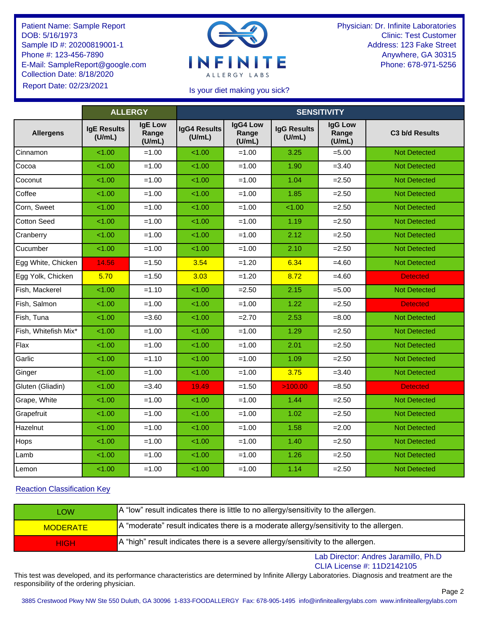

Physician: Dr. Infinite Laboratories Clinic: Test Customer Address: 123 Fake Street Anywhere, GA 30315 Phone: 678-971-5256

## Is your diet making you sick?

|                      | <b>ALLERGY</b>               |                                   | <b>SENSITIVITY</b>            |                             |                              |                                   |                     |  |  |
|----------------------|------------------------------|-----------------------------------|-------------------------------|-----------------------------|------------------------------|-----------------------------------|---------------------|--|--|
| <b>Allergens</b>     | <b>IgE Results</b><br>(U/mL) | <b>IgE Low</b><br>Range<br>(U/mL) | <b>IgG4 Results</b><br>(U/mL) | IgG4 Low<br>Range<br>(U/mL) | <b>IgG Results</b><br>(U/mL) | <b>IgG Low</b><br>Range<br>(U/mL) | C3 b/d Results      |  |  |
| Cinnamon             | < 1.00                       | $=1.00$                           | 1.00                          | $=1.00$                     | 3.25                         | $= 5.00$                          | <b>Not Detected</b> |  |  |
| Cocoa                | < 1.00                       | $=1.00$                           | 1.00                          | $=1.00$                     | 1.90                         | $=3.40$                           | <b>Not Detected</b> |  |  |
| Coconut              | < 1.00                       | $=1.00$                           | 1.00                          | $=1.00$                     | 1.04                         | $= 2.50$                          | <b>Not Detected</b> |  |  |
| Coffee               | < 1.00                       | $=1.00$                           | 1.00                          | $=1.00$                     | 1.85                         | $=2.50$                           | <b>Not Detected</b> |  |  |
| Corn, Sweet          | 1.00                         | $=1.00$                           | 1.00                          | $=1.00$                     | 1.00                         | $=2.50$                           | <b>Not Detected</b> |  |  |
| <b>Cotton Seed</b>   | < 1.00                       | $=1.00$                           | < 1.00                        | $=1.00$                     | 1.19                         | $= 2.50$                          | <b>Not Detected</b> |  |  |
| Cranberry            | < 1.00                       | $=1.00$                           | < 1.00                        | $=1.00$                     | 2.12                         | $=2.50$                           | <b>Not Detected</b> |  |  |
| Cucumber             | < 1.00                       | $=1.00$                           | < 1.00                        | $=1.00$                     | 2.10                         | $=2.50$                           | <b>Not Detected</b> |  |  |
| Egg White, Chicken   | 14.56                        | $=1.50$                           | 3.54                          | $=1.20$                     | 6.34                         | $=4.60$                           | <b>Not Detected</b> |  |  |
| Egg Yolk, Chicken    | 5.70                         | $=1.50$                           | 3.03                          | $=1.20$                     | 8.72                         | $=4.60$                           | <b>Detected</b>     |  |  |
| Fish, Mackerel       | 1.00                         | $=1.10$                           | 1.00                          | $= 2.50$                    | 2.15                         | $= 5.00$                          | <b>Not Detected</b> |  |  |
| Fish, Salmon         | < 1.00                       | $=1.00$                           | 1.00                          | $=1.00$                     | 1.22                         | $=2.50$                           | <b>Detected</b>     |  |  |
| Fish, Tuna           | < 1.00                       | $= 3.60$                          | 1.00                          | $=2.70$                     | 2.53                         | $= 8.00$                          | <b>Not Detected</b> |  |  |
| Fish, Whitefish Mix* | 1.00                         | $=1.00$                           | 1.00                          | $=1.00$                     | 1.29                         | $=2.50$                           | <b>Not Detected</b> |  |  |
| Flax                 | < 1.00                       | $=1.00$                           | 1.00                          | $=1.00$                     | 2.01                         | $=2.50$                           | <b>Not Detected</b> |  |  |
| Garlic               | < 1.00                       | $=1.10$                           | < 1.00                        | $=1.00$                     | 1.09                         | $=2.50$                           | <b>Not Detected</b> |  |  |
| Ginger               | < 1.00                       | $=1.00$                           | 1.00                          | $=1.00$                     | 3.75                         | $=3.40$                           | <b>Not Detected</b> |  |  |
| Gluten (Gliadin)     | < 1.00                       | $= 3.40$                          | 19.49                         | $=1.50$                     | >100.00                      | $= 8.50$                          | <b>Detected</b>     |  |  |
| Grape, White         | 1.00                         | $=1.00$                           | 1.00                          | $=1.00$                     | 1.44                         | $=2.50$                           | <b>Not Detected</b> |  |  |
| Grapefruit           | < 1.00                       | $=1.00$                           | < 1.00                        | $=1.00$                     | 1.02                         | $=2.50$                           | <b>Not Detected</b> |  |  |
| Hazelnut             | < 1.00                       | $=1.00$                           | < 1.00                        | $=1.00$                     | 1.58                         | $=2.00$                           | <b>Not Detected</b> |  |  |
| Hops                 | < 1.00                       | $=1.00$                           | 1.00                          | $=1.00$                     | 1.40                         | $=2.50$                           | <b>Not Detected</b> |  |  |
| Lamb                 | 1.00                         | $=1.00$                           | 1.00                          | $=1.00$                     | 1.26                         | $=2.50$                           | <b>Not Detected</b> |  |  |
| Lemon                | 1.00                         | $=1.00$                           | < 1.00                        | $=1.00$                     | 1.14                         | $=2.50$                           | <b>Not Detected</b> |  |  |
|                      |                              |                                   |                               |                             |                              |                                   |                     |  |  |

# Reaction Classification Key

| LOW             | A "low" result indicates there is little to no allergy/sensitivity to the allergen.                   |
|-----------------|-------------------------------------------------------------------------------------------------------|
| <b>MODERATE</b> | $\overline{a}$ A "moderate" result indicates there is a moderate allergy/sensitivity to the allergen. |
| <b>HIGH</b>     | A "high" result indicates there is a severe allergy/sensitivity to the allergen.                      |

Lab Director: Andres Jaramillo, Ph.D CLIA License #: 11D2142105

Page 2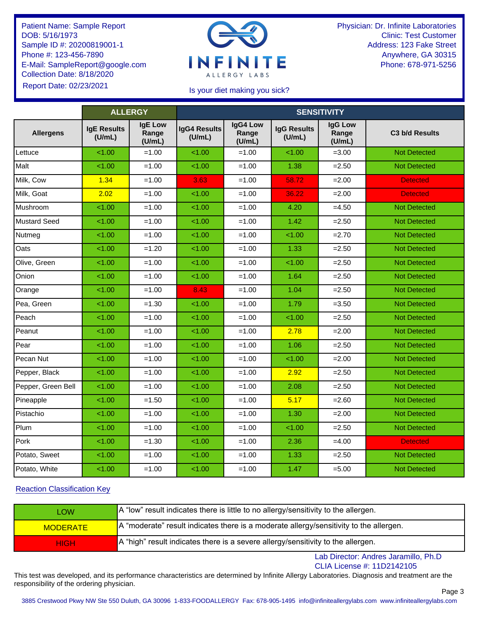

Physician: Dr. Infinite Laboratories Clinic: Test Customer Address: 123 Fake Street Anywhere, GA 30315 Phone: 678-971-5256

## Is your diet making you sick?

|                    | <b>ALLERGY</b>               |                                   | <b>SENSITIVITY</b>            |                             |                              |                                   |                     |  |  |
|--------------------|------------------------------|-----------------------------------|-------------------------------|-----------------------------|------------------------------|-----------------------------------|---------------------|--|--|
| <b>Allergens</b>   | <b>IgE Results</b><br>(U/mL) | <b>IgE Low</b><br>Range<br>(U/mL) | <b>IgG4 Results</b><br>(U/mL) | IgG4 Low<br>Range<br>(U/mL) | <b>IgG Results</b><br>(U/mL) | <b>IgG Low</b><br>Range<br>(U/mL) | C3 b/d Results      |  |  |
| Lettuce            | < 1.00                       | $=1.00$                           | 1.00                          | $=1.00$                     | 1.00                         | $= 3.00$                          | <b>Not Detected</b> |  |  |
| Malt               | < 1.00                       | $=1.00$                           | 1.00                          | $=1.00$                     | 1.38                         | $=2.50$                           | <b>Not Detected</b> |  |  |
| Milk, Cow          | 1.34                         | $=1.00$                           | 3.63                          | $=1.00$                     | 58.72                        | $= 2.00$                          | <b>Detected</b>     |  |  |
| Milk, Goat         | 2.02                         | $=1.00$                           | < 1.00                        | $=1.00$                     | 36.22                        | $= 2.00$                          | <b>Detected</b>     |  |  |
| Mushroom           | 1.00                         | $=1.00$                           | 1.00                          | $=1.00$                     | 4.20                         | $=4.50$                           | <b>Not Detected</b> |  |  |
| Mustard Seed       | < 1.00                       | $=1.00$                           | 1.00                          | $=1.00$                     | 1.42                         | $= 2.50$                          | <b>Not Detected</b> |  |  |
| Nutmeg             | < 1.00                       | $=1.00$                           | 1.00                          | $=1.00$                     | < 1.00                       | $=2.70$                           | <b>Not Detected</b> |  |  |
| Oats               | < 1.00                       | $=1.20$                           | 1.00                          | $=1.00$                     | 1.33                         | $=2.50$                           | <b>Not Detected</b> |  |  |
| Olive, Green       | < 1.00                       | $=1.00$                           | 1.00                          | $=1.00$                     | 1.00                         | $=2.50$                           | <b>Not Detected</b> |  |  |
| Onion              | < 1.00                       | $=1.00$                           | 1.00                          | $=1.00$                     | 1.64                         | $= 2.50$                          | <b>Not Detected</b> |  |  |
| Orange             | < 1.00                       | $=1.00$                           | 8.43                          | $=1.00$                     | 1.04                         | $=2.50$                           | <b>Not Detected</b> |  |  |
| Pea, Green         | < 1.00                       | $=1.30$                           | 1.00                          | $=1.00$                     | 1.79                         | $=3.50$                           | <b>Not Detected</b> |  |  |
| Peach              | < 1.00                       | $=1.00$                           | 1.00                          | $=1.00$                     | 1.00                         | $=2.50$                           | <b>Not Detected</b> |  |  |
| Peanut             | < 1.00                       | $=1.00$                           | 1.00                          | $=1.00$                     | 2.78                         | $=2.00$                           | <b>Not Detected</b> |  |  |
| Pear               | < 1.00                       | $=1.00$                           | 1.00                          | $=1.00$                     | 1.06                         | $=2.50$                           | <b>Not Detected</b> |  |  |
| Pecan Nut          | < 1.00                       | $=1.00$                           | 1.00                          | $=1.00$                     | < 1.00                       | $=2.00$                           | <b>Not Detected</b> |  |  |
| Pepper, Black      | < 1.00                       | $=1.00$                           | 1.00                          | $=1.00$                     | 2.92                         | $=2.50$                           | <b>Not Detected</b> |  |  |
| Pepper, Green Bell | < 1.00                       | $=1.00$                           | 1.00                          | $=1.00$                     | 2.08                         | $=2.50$                           | <b>Not Detected</b> |  |  |
| Pineapple          | < 1.00                       | $=1.50$                           | 1.00                          | $=1.00$                     | 5.17                         | $= 2.60$                          | <b>Not Detected</b> |  |  |
| Pistachio          | < 1.00                       | $=1.00$                           | 1.00                          | $=1.00$                     | 1.30                         | $=2.00$                           | <b>Not Detected</b> |  |  |
| Plum               | < 1.00                       | $=1.00$                           | 1.00                          | $=1.00$                     | < 1.00                       | $=2.50$                           | <b>Not Detected</b> |  |  |
| Pork               | < 1.00                       | $=1.30$                           | 1.00                          | $=1.00$                     | 2.36                         | $=4.00$                           | <b>Detected</b>     |  |  |
| Potato, Sweet      | < 1.00                       | $=1.00$                           | 1.00                          | $=1.00$                     | 1.33                         | $=2.50$                           | <b>Not Detected</b> |  |  |
| Potato, White      | < 1.00                       | $=1.00$                           | 1.00                          | $=1.00$                     | 1.47                         | $= 5.00$                          | <b>Not Detected</b> |  |  |
|                    |                              |                                   |                               |                             |                              |                                   |                     |  |  |

# Reaction Classification Key

| LOW             | A "low" result indicates there is little to no allergy/sensitivity to the allergen.                   |
|-----------------|-------------------------------------------------------------------------------------------------------|
| <b>MODERATE</b> | $\overline{a}$ A "moderate" result indicates there is a moderate allergy/sensitivity to the allergen. |
| <b>HIGH</b>     | A "high" result indicates there is a severe allergy/sensitivity to the allergen.                      |

Lab Director: Andres Jaramillo, Ph.D CLIA License #: 11D2142105

Page 3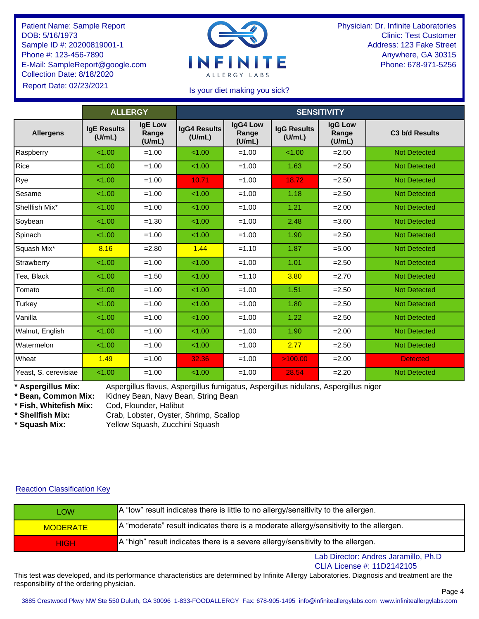

Physician: Dr. Infinite Laboratories Clinic: Test Customer Address: 123 Fake Street Anywhere, GA 30315 Phone: 678-971-5256

## Is your diet making you sick?

|                      | <b>ALLERGY</b>               |                                   | <b>SENSITIVITY</b>            |                             |                              |                                   |                            |  |
|----------------------|------------------------------|-----------------------------------|-------------------------------|-----------------------------|------------------------------|-----------------------------------|----------------------------|--|
| <b>Allergens</b>     | <b>IgE Results</b><br>(U/mL) | <b>IgE Low</b><br>Range<br>(U/mL) | <b>IgG4 Results</b><br>(U/mL) | IgG4 Low<br>Range<br>(U/mL) | <b>IgG Results</b><br>(U/mL) | <b>IgG Low</b><br>Range<br>(U/mL) | C <sub>3</sub> b/d Results |  |
| Raspberry            | < 1.00                       | $=1.00$                           | < 1.00                        | $=1.00$                     | < 1.00                       | $= 2.50$                          | <b>Not Detected</b>        |  |
| Rice                 | < 1.00                       | $=1.00$                           | < 1.00                        | $=1.00$                     | 1.63                         | $= 2.50$                          | <b>Not Detected</b>        |  |
| Rye                  | < 1.00                       | $=1.00$                           | 10.71                         | $=1.00$                     | 18.72                        | $= 2.50$                          | <b>Not Detected</b>        |  |
| Sesame               | 1.00                         | $=1.00$                           | 1.00                          | $=1.00$                     | 1.18                         | $= 2.50$                          | <b>Not Detected</b>        |  |
| Shellfish Mix*       | < 1.00                       | $=1.00$                           | 1.00                          | $=1.00$                     | 1.21                         | $=2.00$                           | <b>Not Detected</b>        |  |
| Soybean              | 1.00                         | $=1.30$                           | 1.00                          | $=1.00$                     | 2.48                         | $= 3.60$                          | <b>Not Detected</b>        |  |
| Spinach              | < 1.00                       | $=1.00$                           | < 1.00                        | $=1.00$                     | 1.90                         | $= 2.50$                          | <b>Not Detected</b>        |  |
| Squash Mix*          | 8.16                         | $= 2.80$                          | 1.44                          | $=1.10$                     | 1.87                         | $= 5.00$                          | <b>Not Detected</b>        |  |
| Strawberry           | < 1.00                       | $=1.00$                           | < 1.00                        | $=1.00$                     | 1.01                         | $= 2.50$                          | <b>Not Detected</b>        |  |
| Tea, Black           | < 1.00                       | $=1.50$                           | < 1.00                        | $=1.10$                     | 3.80                         | $=2.70$                           | <b>Not Detected</b>        |  |
| Tomato               | < 1.00                       | $=1.00$                           | < 1.00                        | $=1.00$                     | 1.51                         | $= 2.50$                          | <b>Not Detected</b>        |  |
| Turkey               | 1.00                         | $=1.00$                           | 1.00                          | $=1.00$                     | 1.80                         | $=2.50$                           | <b>Not Detected</b>        |  |
| Vanilla              | < 1.00                       | $=1.00$                           | < 1.00                        | $=1.00$                     | 1.22                         | $= 2.50$                          | <b>Not Detected</b>        |  |
| Walnut, English      | < 1.00                       | $=1.00$                           | < 1.00                        | $=1.00$                     | 1.90                         | $= 2.00$                          | <b>Not Detected</b>        |  |
| Watermelon           | < 1.00                       | $=1.00$                           | < 1.00                        | $=1.00$                     | 2.77                         | $=2.50$                           | <b>Not Detected</b>        |  |
| Wheat                | 1.49                         | $=1.00$                           | 32.36                         | $=1.00$                     | >100.00                      | $=2.00$                           | <b>Detected</b>            |  |
| Yeast, S. cerevisiae | < 1.00                       | $=1.00$                           | < 1.00                        | $=1.00$                     | 28.54                        | $=2.20$                           | <b>Not Detected</b>        |  |

**\* Aspergillus Mix:** Aspergillus flavus, Aspergillus fumigatus, Aspergillus nidulans, Aspergillus niger

Kidney Bean, Navy Bean, String Bean

**\* Fish, Whitefish Mix:** Cod, Flounder, Halibut

**\* Shellfish Mix:** Crab, Lobster, Oyster, Shrimp, Scallop

**\* Squash Mix:** Yellow Squash, Zucchini Squash

#### Reaction Classification Key

| _OW             | A "low" result indicates there is little to no allergy/sensitivity to the allergen.                    |
|-----------------|--------------------------------------------------------------------------------------------------------|
| <b>MODERATE</b> | $A$ "moderate" result indicates there is a moderate allergy/sensitivity to the allergen.               |
| <b>HIGH</b>     | $\blacktriangleright$ A "high" result indicates there is a severe allergy/sensitivity to the allergen. |

Lab Director: Andres Jaramillo, Ph.D

CLIA License #: 11D2142105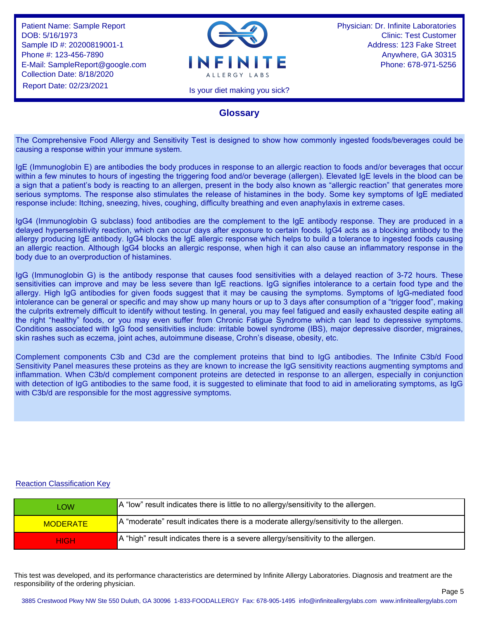

Physician: Dr. Infinite Laboratories Clinic: Test Customer Address: 123 Fake Street Anywhere, GA 30315 Phone: 678-971-5256

Page 5

Is your diet making you sick?

# **Glossary**

The Comprehensive Food Allergy and Sensitivity Test is designed to show how commonly ingested foods/beverages could be causing a response within your immune system.

IgE (Immunoglobin E) are antibodies the body produces in response to an allergic reaction to foods and/or beverages that occur within a few minutes to hours of ingesting the triggering food and/or beverage (allergen). Elevated IgE levels in the blood can be a sign that a patient's body is reacting to an allergen, present in the body also known as "allergic reaction" that generates more serious symptoms. The response also stimulates the release of histamines in the body. Some key symptoms of IgE mediated response include: Itching, sneezing, hives, coughing, difficulty breathing and even anaphylaxis in extreme cases.

IgG4 (Immunoglobin G subclass) food antibodies are the complement to the IgE antibody response. They are produced in a delayed hypersensitivity reaction, which can occur days after exposure to certain foods. IgG4 acts as a blocking antibody to the allergy producing IgE antibody. IgG4 blocks the IgE allergic response which helps to build a tolerance to ingested foods causing an allergic reaction. Although IgG4 blocks an allergic response, when high it can also cause an inflammatory response in the body due to an overproduction of histamines.

IgG (Immunoglobin G) is the antibody response that causes food sensitivities with a delayed reaction of 3-72 hours. These sensitivities can improve and may be less severe than IgE reactions. IgG signifies intolerance to a certain food type and the allergy. High IgG antibodies for given foods suggest that it may be causing the symptoms. Symptoms of IgG-mediated food intolerance can be general or specific and may show up many hours or up to 3 days after consumption of a "trigger food", making the culprits extremely difficult to identify without testing. In general, you may feel fatigued and easily exhausted despite eating all the right "healthy" foods, or you may even suffer from Chronic Fatigue Syndrome which can lead to depressive symptoms. Conditions associated with IgG food sensitivities include: irritable bowel syndrome (IBS), major depressive disorder, migraines, skin rashes such as eczema, joint aches, autoimmune disease, Crohn's disease, obesity, etc.

Complement components C3b and C3d are the complement proteins that bind to IgG antibodies. The Infinite C3b/d Food Sensitivity Panel measures these proteins as they are known to increase the IgG sensitivity reactions augmenting symptoms and inflammation. When C3b/d complement component proteins are detected in response to an allergen, especially in conjunction with detection of IgG antibodies to the same food, it is suggested to eliminate that food to aid in ameliorating symptoms, as IgG with C3b/d are responsible for the most aggressive symptoms.

#### Reaction Classification Key

| <b>LOW</b>      | A "low" result indicates there is little to no allergy/sensitivity to the allergen.                   |
|-----------------|-------------------------------------------------------------------------------------------------------|
| <b>MODERATE</b> | $\blacksquare$ A "moderate" result indicates there is a moderate allergy/sensitivity to the allergen. |
| <b>HIGH</b>     | A "high" result indicates there is a severe allergy/sensitivity to the allergen.                      |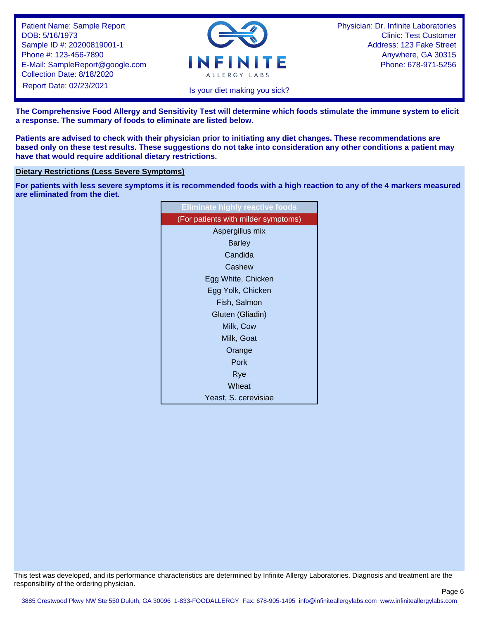

Physician: Dr. Infinite Laboratories Clinic: Test Customer Address: 123 Fake Street Anywhere, GA 30315 Phone: 678-971-5256

Page 6

Is your diet making you sick?

**The Comprehensive Food Allergy and Sensitivity Test will determine which foods stimulate the immune system to elicit a response. The summary of foods to eliminate are listed below.**

**Patients are advised to check with their physician prior to initiating any diet changes. These recommendations are based only on these test results. These suggestions do not take into consideration any other conditions a patient may have that would require additional dietary restrictions.**

#### **Dietary Restrictions (Less Severe Symptoms)**

**For patients with less severe symptoms it is recommended foods with a high reaction to any of the 4 markers measured are eliminated from the diet.**

| <b>Eliminate highly reactive foods</b> |
|----------------------------------------|
| (For patients with milder symptoms)    |
| Aspergillus mix                        |
| <b>Barley</b>                          |
| Candida                                |
| Cashew                                 |
| Egg White, Chicken                     |
| Egg Yolk, Chicken                      |
| Fish, Salmon                           |
| Gluten (Gliadin)                       |
| Milk, Cow                              |
| Milk, Goat                             |
| Orange                                 |
| Pork                                   |
| Rye                                    |
| Wheat                                  |
| Yeast, S. cerevisiae                   |
|                                        |